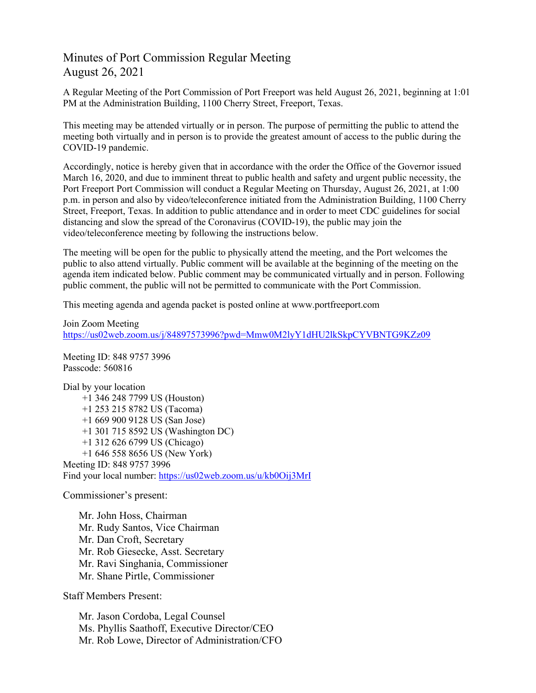# Minutes of Port Commission Regular Meeting August 26, 2021

A Regular Meeting of the Port Commission of Port Freeport was held August 26, 2021, beginning at 1:01 PM at the Administration Building, 1100 Cherry Street, Freeport, Texas.

This meeting may be attended virtually or in person. The purpose of permitting the public to attend the meeting both virtually and in person is to provide the greatest amount of access to the public during the COVID-19 pandemic.

Accordingly, notice is hereby given that in accordance with the order the Office of the Governor issued March 16, 2020, and due to imminent threat to public health and safety and urgent public necessity, the Port Freeport Port Commission will conduct a Regular Meeting on Thursday, August 26, 2021, at 1:00 p.m. in person and also by video/teleconference initiated from the Administration Building, 1100 Cherry Street, Freeport, Texas. In addition to public attendance and in order to meet CDC guidelines for social distancing and slow the spread of the Coronavirus (COVID-19), the public may join the video/teleconference meeting by following the instructions below.

The meeting will be open for the public to physically attend the meeting, and the Port welcomes the public to also attend virtually. Public comment will be available at the beginning of the meeting on the agenda item indicated below. Public comment may be communicated virtually and in person. Following public comment, the public will not be permitted to communicate with the Port Commission.

This meeting agenda and agenda packet is posted online at [www.portfreeport.com](http://www.portfreeport.com/)

```
Join Zoom Meeting
```
<https://us02web.zoom.us/j/84897573996?pwd=Mmw0M2lyY1dHU2lkSkpCYVBNTG9KZz09>

Meeting ID: 848 9757 3996 Passcode: 560816

Dial by your location +1 346 248 7799 US (Houston) +1 253 215 8782 US (Tacoma) +1 669 900 9128 US (San Jose) +1 301 715 8592 US (Washington DC) +1 312 626 6799 US (Chicago) +1 646 558 8656 US (New York) Meeting ID: 848 9757 3996 Find your local number:<https://us02web.zoom.us/u/kb0Oij3MrI>

Commissioner's present:

Mr. John Hoss, Chairman Mr. Rudy Santos, Vice Chairman Mr. Dan Croft, Secretary Mr. Rob Giesecke, Asst. Secretary Mr. Ravi Singhania, Commissioner Mr. Shane Pirtle, Commissioner

Staff Members Present:

Mr. Jason Cordoba, Legal Counsel Ms. Phyllis Saathoff, Executive Director/CEO Mr. Rob Lowe, Director of Administration/CFO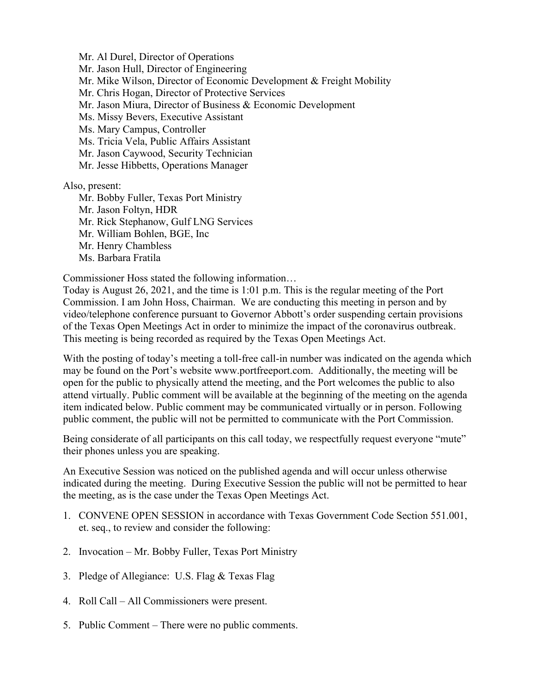Mr. Al Durel, Director of Operations Mr. Jason Hull, Director of Engineering Mr. Mike Wilson, Director of Economic Development & Freight Mobility Mr. Chris Hogan, Director of Protective Services Mr. Jason Miura, Director of Business & Economic Development Ms. Missy Bevers, Executive Assistant Ms. Mary Campus, Controller Ms. Tricia Vela, Public Affairs Assistant Mr. Jason Caywood, Security Technician Mr. Jesse Hibbetts, Operations Manager Also, present:

Mr. Bobby Fuller, Texas Port Ministry Mr. Jason Foltyn, HDR Mr. Rick Stephanow, Gulf LNG Services Mr. William Bohlen, BGE, Inc Mr. Henry Chambless Ms. Barbara Fratila

Commissioner Hoss stated the following information…

Today is August 26, 2021, and the time is 1:01 p.m. This is the regular meeting of the Port Commission. I am John Hoss, Chairman. We are conducting this meeting in person and by video/telephone conference pursuant to Governor Abbott's order suspending certain provisions of the Texas Open Meetings Act in order to minimize the impact of the coronavirus outbreak. This meeting is being recorded as required by the Texas Open Meetings Act.

With the posting of today's meeting a toll-free call-in number was indicated on the agenda which may be found on the Port's website [www.portfreeport.com.](http://www.portfreeport.com/) Additionally, the meeting will be open for the public to physically attend the meeting, and the Port welcomes the public to also attend virtually. Public comment will be available at the beginning of the meeting on the agenda item indicated below. Public comment may be communicated virtually or in person. Following public comment, the public will not be permitted to communicate with the Port Commission.

Being considerate of all participants on this call today, we respectfully request everyone "mute" their phones unless you are speaking.

An Executive Session was noticed on the published agenda and will occur unless otherwise indicated during the meeting. During Executive Session the public will not be permitted to hear the meeting, as is the case under the Texas Open Meetings Act.

- 1. CONVENE OPEN SESSION in accordance with Texas Government Code Section 551.001, et. seq., to review and consider the following:
- 2. Invocation Mr. Bobby Fuller, Texas Port Ministry
- 3. Pledge of Allegiance: U.S. Flag & Texas Flag
- 4. Roll Call All Commissioners were present.
- 5. Public Comment There were no public comments.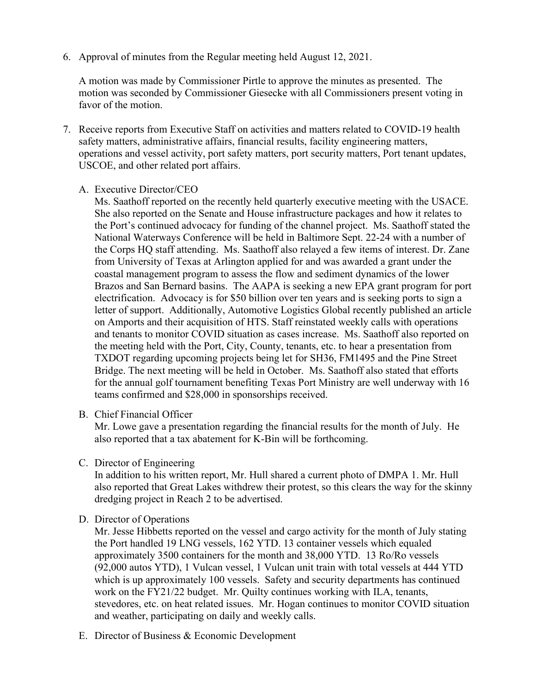6. Approval of minutes from the Regular meeting held August 12, 2021.

A motion was made by Commissioner Pirtle to approve the minutes as presented. The motion was seconded by Commissioner Giesecke with all Commissioners present voting in favor of the motion.

- 7. Receive reports from Executive Staff on activities and matters related to COVID-19 health safety matters, administrative affairs, financial results, facility engineering matters, operations and vessel activity, port safety matters, port security matters, Port tenant updates, USCOE, and other related port affairs.
	- A. Executive Director/CEO

Ms. Saathoff reported on the recently held quarterly executive meeting with the USACE. She also reported on the Senate and House infrastructure packages and how it relates to the Port's continued advocacy for funding of the channel project. Ms. Saathoff stated the National Waterways Conference will be held in Baltimore Sept. 22-24 with a number of the Corps HQ staff attending. Ms. Saathoff also relayed a few items of interest. Dr. Zane from University of Texas at Arlington applied for and was awarded a grant under the coastal management program to assess the flow and sediment dynamics of the lower Brazos and San Bernard basins. The AAPA is seeking a new EPA grant program for port electrification. Advocacy is for \$50 billion over ten years and is seeking ports to sign a letter of support. Additionally, Automotive Logistics Global recently published an article on Amports and their acquisition of HTS. Staff reinstated weekly calls with operations and tenants to monitor COVID situation as cases increase. Ms. Saathoff also reported on the meeting held with the Port, City, County, tenants, etc. to hear a presentation from TXDOT regarding upcoming projects being let for SH36, FM1495 and the Pine Street Bridge. The next meeting will be held in October. Ms. Saathoff also stated that efforts for the annual golf tournament benefiting Texas Port Ministry are well underway with 16 teams confirmed and \$28,000 in sponsorships received.

B. Chief Financial Officer

Mr. Lowe gave a presentation regarding the financial results for the month of July. He also reported that a tax abatement for K-Bin will be forthcoming.

C. Director of Engineering

In addition to his written report, Mr. Hull shared a current photo of DMPA 1. Mr. Hull also reported that Great Lakes withdrew their protest, so this clears the way for the skinny dredging project in Reach 2 to be advertised.

## D. Director of Operations

Mr. Jesse Hibbetts reported on the vessel and cargo activity for the month of July stating the Port handled 19 LNG vessels, 162 YTD. 13 container vessels which equaled approximately 3500 containers for the month and 38,000 YTD. 13 Ro/Ro vessels (92,000 autos YTD), 1 Vulcan vessel, 1 Vulcan unit train with total vessels at 444 YTD which is up approximately 100 vessels. Safety and security departments has continued work on the FY21/22 budget. Mr. Quilty continues working with ILA, tenants, stevedores, etc. on heat related issues. Mr. Hogan continues to monitor COVID situation and weather, participating on daily and weekly calls.

E. Director of Business & Economic Development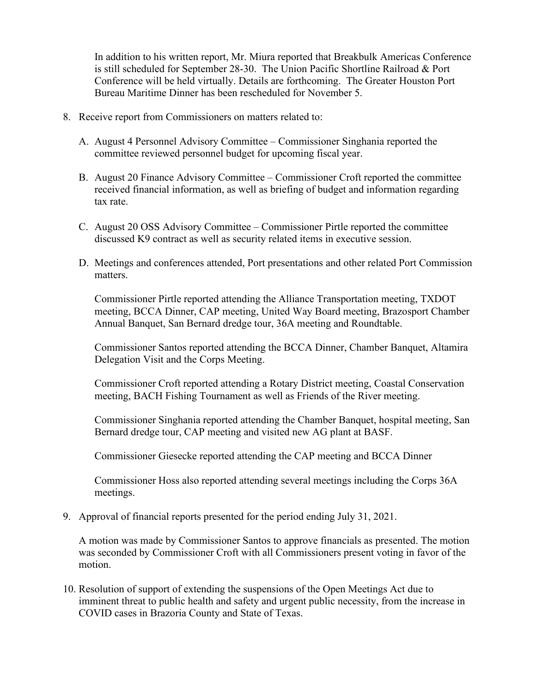In addition to his written report, Mr. Miura reported that Breakbulk Americas Conference is still scheduled for September 28-30. The Union Pacific Shortline Railroad & Port Conference will be held virtually. Details are forthcoming. The Greater Houston Port Bureau Maritime Dinner has been rescheduled for November 5.

- 8. Receive report from Commissioners on matters related to:
	- A. August 4 Personnel Advisory Committee Commissioner Singhania reported the committee reviewed personnel budget for upcoming fiscal year.
	- B. August 20 Finance Advisory Committee Commissioner Croft reported the committee received financial information, as well as briefing of budget and information regarding tax rate.
	- C. August 20 OSS Advisory Committee Commissioner Pirtle reported the committee discussed K9 contract as well as security related items in executive session.
	- D. Meetings and conferences attended, Port presentations and other related Port Commission matters.

Commissioner Pirtle reported attending the Alliance Transportation meeting, TXDOT meeting, BCCA Dinner, CAP meeting, United Way Board meeting, Brazosport Chamber Annual Banquet, San Bernard dredge tour, 36A meeting and Roundtable.

Commissioner Santos reported attending the BCCA Dinner, Chamber Banquet, Altamira Delegation Visit and the Corps Meeting.

Commissioner Croft reported attending a Rotary District meeting, Coastal Conservation meeting, BACH Fishing Tournament as well as Friends of the River meeting.

Commissioner Singhania reported attending the Chamber Banquet, hospital meeting, San Bernard dredge tour, CAP meeting and visited new AG plant at BASF.

Commissioner Giesecke reported attending the CAP meeting and BCCA Dinner

Commissioner Hoss also reported attending several meetings including the Corps 36A meetings.

9. Approval of financial reports presented for the period ending July 31, 2021.

A motion was made by Commissioner Santos to approve financials as presented. The motion was seconded by Commissioner Croft with all Commissioners present voting in favor of the motion.

10. Resolution of support of extending the suspensions of the Open Meetings Act due to imminent threat to public health and safety and urgent public necessity, from the increase in COVID cases in Brazoria County and State of Texas.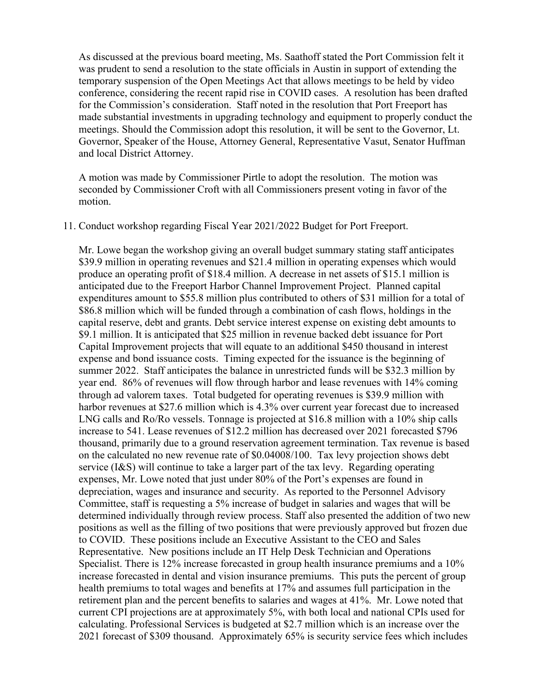As discussed at the previous board meeting, Ms. Saathoff stated the Port Commission felt it was prudent to send a resolution to the state officials in Austin in support of extending the temporary suspension of the Open Meetings Act that allows meetings to be held by video conference, considering the recent rapid rise in COVID cases. A resolution has been drafted for the Commission's consideration. Staff noted in the resolution that Port Freeport has made substantial investments in upgrading technology and equipment to properly conduct the meetings. Should the Commission adopt this resolution, it will be sent to the Governor, Lt. Governor, Speaker of the House, Attorney General, Representative Vasut, Senator Huffman and local District Attorney.

A motion was made by Commissioner Pirtle to adopt the resolution. The motion was seconded by Commissioner Croft with all Commissioners present voting in favor of the motion.

#### 11. Conduct workshop regarding Fiscal Year 2021/2022 Budget for Port Freeport.

Mr. Lowe began the workshop giving an overall budget summary stating staff anticipates \$39.9 million in operating revenues and \$21.4 million in operating expenses which would produce an operating profit of \$18.4 million. A decrease in net assets of \$15.1 million is anticipated due to the Freeport Harbor Channel Improvement Project. Planned capital expenditures amount to \$55.8 million plus contributed to others of \$31 million for a total of \$86.8 million which will be funded through a combination of cash flows, holdings in the capital reserve, debt and grants. Debt service interest expense on existing debt amounts to \$9.1 million. It is anticipated that \$25 million in revenue backed debt issuance for Port Capital Improvement projects that will equate to an additional \$450 thousand in interest expense and bond issuance costs. Timing expected for the issuance is the beginning of summer 2022. Staff anticipates the balance in unrestricted funds will be \$32.3 million by year end. 86% of revenues will flow through harbor and lease revenues with 14% coming through ad valorem taxes. Total budgeted for operating revenues is \$39.9 million with harbor revenues at \$27.6 million which is 4.3% over current year forecast due to increased LNG calls and Ro/Ro vessels. Tonnage is projected at \$16.8 million with a 10% ship calls increase to 541. Lease revenues of \$12.2 million has decreased over 2021 forecasted \$796 thousand, primarily due to a ground reservation agreement termination. Tax revenue is based on the calculated no new revenue rate of \$0.04008/100. Tax levy projection shows debt service (I&S) will continue to take a larger part of the tax levy. Regarding operating expenses, Mr. Lowe noted that just under 80% of the Port's expenses are found in depreciation, wages and insurance and security. As reported to the Personnel Advisory Committee, staff is requesting a 5% increase of budget in salaries and wages that will be determined individually through review process. Staff also presented the addition of two new positions as well as the filling of two positions that were previously approved but frozen due to COVID. These positions include an Executive Assistant to the CEO and Sales Representative. New positions include an IT Help Desk Technician and Operations Specialist. There is 12% increase forecasted in group health insurance premiums and a 10% increase forecasted in dental and vision insurance premiums. This puts the percent of group health premiums to total wages and benefits at 17% and assumes full participation in the retirement plan and the percent benefits to salaries and wages at 41%. Mr. Lowe noted that current CPI projections are at approximately 5%, with both local and national CPIs used for calculating. Professional Services is budgeted at \$2.7 million which is an increase over the 2021 forecast of \$309 thousand. Approximately 65% is security service fees which includes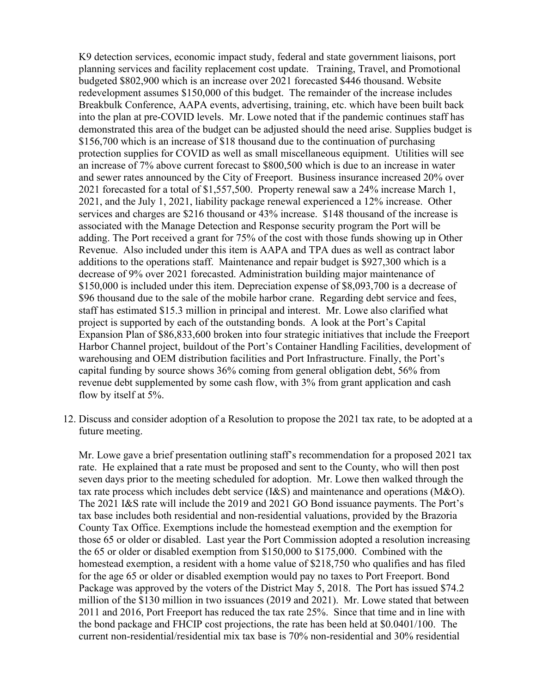K9 detection services, economic impact study, federal and state government liaisons, port planning services and facility replacement cost update. Training, Travel, and Promotional budgeted \$802,900 which is an increase over 2021 forecasted \$446 thousand. Website redevelopment assumes \$150,000 of this budget. The remainder of the increase includes Breakbulk Conference, AAPA events, advertising, training, etc. which have been built back into the plan at pre-COVID levels. Mr. Lowe noted that if the pandemic continues staff has demonstrated this area of the budget can be adjusted should the need arise. Supplies budget is \$156,700 which is an increase of \$18 thousand due to the continuation of purchasing protection supplies for COVID as well as small miscellaneous equipment. Utilities will see an increase of 7% above current forecast to \$800,500 which is due to an increase in water and sewer rates announced by the City of Freeport. Business insurance increased 20% over 2021 forecasted for a total of \$1,557,500. Property renewal saw a 24% increase March 1, 2021, and the July 1, 2021, liability package renewal experienced a 12% increase. Other services and charges are \$216 thousand or 43% increase. \$148 thousand of the increase is associated with the Manage Detection and Response security program the Port will be adding. The Port received a grant for 75% of the cost with those funds showing up in Other Revenue. Also included under this item is AAPA and TPA dues as well as contract labor additions to the operations staff. Maintenance and repair budget is \$927,300 which is a decrease of 9% over 2021 forecasted. Administration building major maintenance of \$150,000 is included under this item. Depreciation expense of \$8,093,700 is a decrease of \$96 thousand due to the sale of the mobile harbor crane. Regarding debt service and fees, staff has estimated \$15.3 million in principal and interest. Mr. Lowe also clarified what project is supported by each of the outstanding bonds. A look at the Port's Capital Expansion Plan of \$86,833,600 broken into four strategic initiatives that include the Freeport Harbor Channel project, buildout of the Port's Container Handling Facilities, development of warehousing and OEM distribution facilities and Port Infrastructure. Finally, the Port's capital funding by source shows 36% coming from general obligation debt, 56% from revenue debt supplemented by some cash flow, with 3% from grant application and cash flow by itself at 5%.

12. Discuss and consider adoption of a Resolution to propose the 2021 tax rate, to be adopted at a future meeting.

Mr. Lowe gave a brief presentation outlining staff's recommendation for a proposed 2021 tax rate. He explained that a rate must be proposed and sent to the County, who will then post seven days prior to the meeting scheduled for adoption. Mr. Lowe then walked through the tax rate process which includes debt service (I&S) and maintenance and operations (M&O). The 2021 I&S rate will include the 2019 and 2021 GO Bond issuance payments. The Port's tax base includes both residential and non-residential valuations, provided by the Brazoria County Tax Office. Exemptions include the homestead exemption and the exemption for those 65 or older or disabled. Last year the Port Commission adopted a resolution increasing the 65 or older or disabled exemption from \$150,000 to \$175,000. Combined with the homestead exemption, a resident with a home value of \$218,750 who qualifies and has filed for the age 65 or older or disabled exemption would pay no taxes to Port Freeport. Bond Package was approved by the voters of the District May 5, 2018. The Port has issued \$74.2 million of the \$130 million in two issuances (2019 and 2021). Mr. Lowe stated that between 2011 and 2016, Port Freeport has reduced the tax rate 25%. Since that time and in line with the bond package and FHCIP cost projections, the rate has been held at \$0.0401/100. The current non-residential/residential mix tax base is 70% non-residential and 30% residential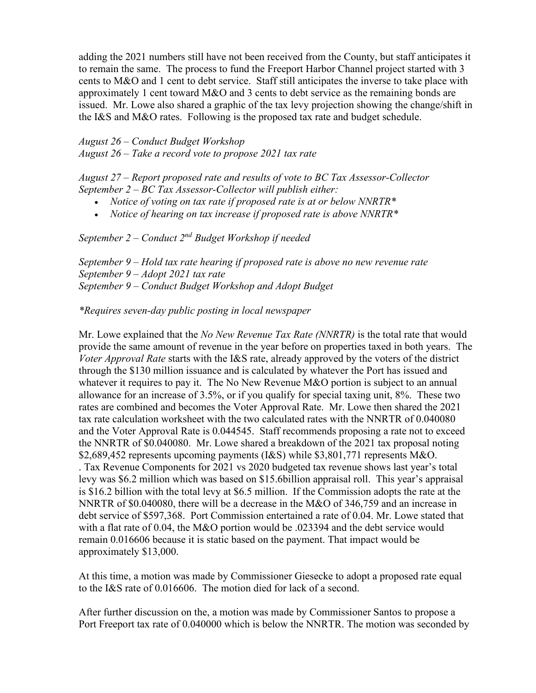adding the 2021 numbers still have not been received from the County, but staff anticipates it to remain the same. The process to fund the Freeport Harbor Channel project started with 3 cents to M&O and 1 cent to debt service. Staff still anticipates the inverse to take place with approximately 1 cent toward M&O and 3 cents to debt service as the remaining bonds are issued. Mr. Lowe also shared a graphic of the tax levy projection showing the change/shift in the I&S and M&O rates. Following is the proposed tax rate and budget schedule.

*August 26 – Conduct Budget Workshop August 26 – Take a record vote to propose 2021 tax rate* 

*August 27 – Report proposed rate and results of vote to BC Tax Assessor-Collector September 2 – BC Tax Assessor-Collector will publish either:*

- *Notice of voting on tax rate if proposed rate is at or below NNRTR\**
- *Notice of hearing on tax increase if proposed rate is above NNRTR\**

*September 2 – Conduct 2nd Budget Workshop if needed* 

*September 9 – Hold tax rate hearing if proposed rate is above no new revenue rate September 9 – Adopt 2021 tax rate September 9 – Conduct Budget Workshop and Adopt Budget* 

*\*Requires seven-day public posting in local newspaper*

Mr. Lowe explained that the *No New Revenue Tax Rate (NNRTR)* is the total rate that would provide the same amount of revenue in the year before on properties taxed in both years. The *Voter Approval Rate* starts with the I&S rate, already approved by the voters of the district through the \$130 million issuance and is calculated by whatever the Port has issued and whatever it requires to pay it. The No New Revenue M&O portion is subject to an annual allowance for an increase of 3.5%, or if you qualify for special taxing unit, 8%. These two rates are combined and becomes the Voter Approval Rate. Mr. Lowe then shared the 2021 tax rate calculation worksheet with the two calculated rates with the NNRTR of 0.040080 and the Voter Approval Rate is 0.044545. Staff recommends proposing a rate not to exceed the NNRTR of \$0.040080. Mr. Lowe shared a breakdown of the 2021 tax proposal noting \$2,689,452 represents upcoming payments (I&S) while \$3,801,771 represents M&O. . Tax Revenue Components for 2021 vs 2020 budgeted tax revenue shows last year's total levy was \$6.2 million which was based on \$15.6billion appraisal roll. This year's appraisal is \$16.2 billion with the total levy at \$6.5 million. If the Commission adopts the rate at the NNRTR of \$0.040080, there will be a decrease in the M&O of 346,759 and an increase in debt service of \$597,368. Port Commission entertained a rate of 0.04. Mr. Lowe stated that with a flat rate of 0.04, the M&O portion would be .023394 and the debt service would remain 0.016606 because it is static based on the payment. That impact would be approximately \$13,000.

At this time, a motion was made by Commissioner Giesecke to adopt a proposed rate equal to the I&S rate of 0.016606. The motion died for lack of a second.

After further discussion on the, a motion was made by Commissioner Santos to propose a Port Freeport tax rate of 0.040000 which is below the NNRTR. The motion was seconded by